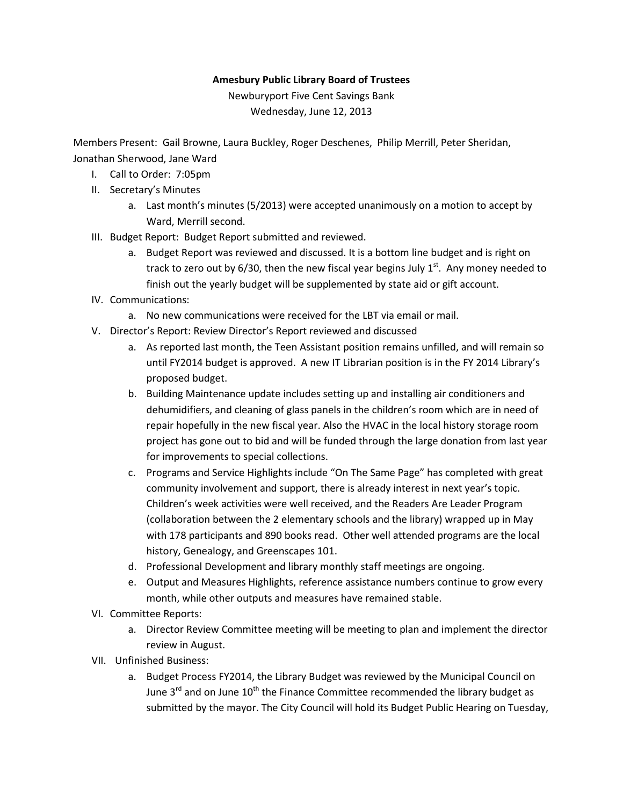## Amesbury Public Library Board of Trustees

Newburyport Five Cent Savings Bank Wednesday, June 12, 2013

Members Present: Gail Browne, Laura Buckley, Roger Deschenes, Philip Merrill, Peter Sheridan, Jonathan Sherwood, Jane Ward

- I. Call to Order: 7:05pm
- II. Secretary's Minutes
	- a. Last month's minutes (5/2013) were accepted unanimously on a motion to accept by Ward, Merrill second.
- III. Budget Report: Budget Report submitted and reviewed.
	- a. Budget Report was reviewed and discussed. It is a bottom line budget and is right on track to zero out by  $6/30$ , then the new fiscal year begins July  $1<sup>st</sup>$ . Any money needed to finish out the yearly budget will be supplemented by state aid or gift account.
- IV. Communications:
	- a. No new communications were received for the LBT via email or mail.
- V. Director's Report: Review Director's Report reviewed and discussed
	- a. As reported last month, the Teen Assistant position remains unfilled, and will remain so until FY2014 budget is approved. A new IT Librarian position is in the FY 2014 Library's proposed budget.
	- b. Building Maintenance update includes setting up and installing air conditioners and dehumidifiers, and cleaning of glass panels in the children's room which are in need of repair hopefully in the new fiscal year. Also the HVAC in the local history storage room project has gone out to bid and will be funded through the large donation from last year for improvements to special collections.
	- c. Programs and Service Highlights include "On The Same Page" has completed with great community involvement and support, there is already interest in next year's topic. Children's week activities were well received, and the Readers Are Leader Program (collaboration between the 2 elementary schools and the library) wrapped up in May with 178 participants and 890 books read. Other well attended programs are the local history, Genealogy, and Greenscapes 101.
	- d. Professional Development and library monthly staff meetings are ongoing.
	- e. Output and Measures Highlights, reference assistance numbers continue to grow every month, while other outputs and measures have remained stable.
- VI. Committee Reports:
	- a. Director Review Committee meeting will be meeting to plan and implement the director review in August.
- VII. Unfinished Business:
	- a. Budget Process FY2014, the Library Budget was reviewed by the Municipal Council on June  $3<sup>rd</sup>$  and on June  $10<sup>th</sup>$  the Finance Committee recommended the library budget as submitted by the mayor. The City Council will hold its Budget Public Hearing on Tuesday,